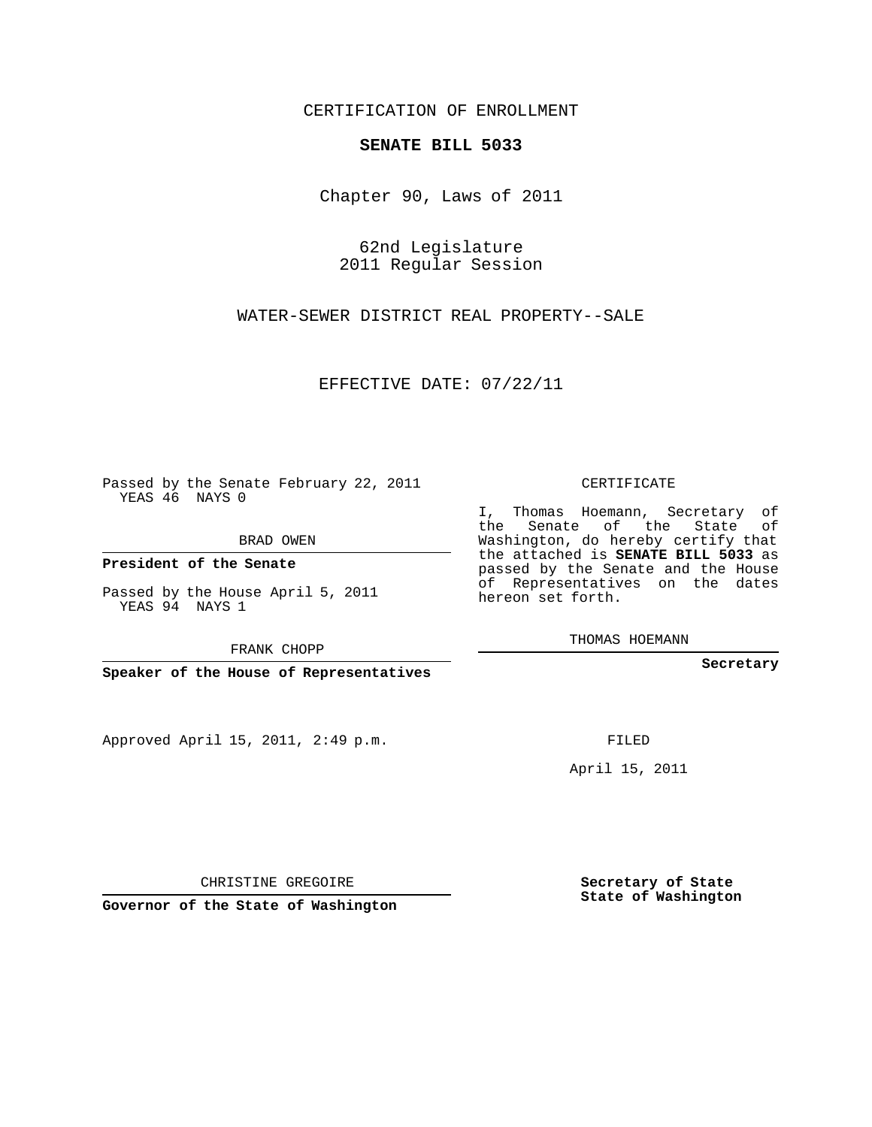## CERTIFICATION OF ENROLLMENT

## **SENATE BILL 5033**

Chapter 90, Laws of 2011

62nd Legislature 2011 Regular Session

WATER-SEWER DISTRICT REAL PROPERTY--SALE

EFFECTIVE DATE: 07/22/11

Passed by the Senate February 22, 2011 YEAS 46 NAYS 0

BRAD OWEN

**President of the Senate**

Passed by the House April 5, 2011 YEAS 94 NAYS 1

FRANK CHOPP

**Speaker of the House of Representatives**

Approved April 15, 2011, 2:49 p.m.

CERTIFICATE

I, Thomas Hoemann, Secretary of the Senate of the State of Washington, do hereby certify that the attached is **SENATE BILL 5033** as passed by the Senate and the House of Representatives on the dates hereon set forth.

THOMAS HOEMANN

**Secretary**

FILED

April 15, 2011

CHRISTINE GREGOIRE

**Governor of the State of Washington**

**Secretary of State State of Washington**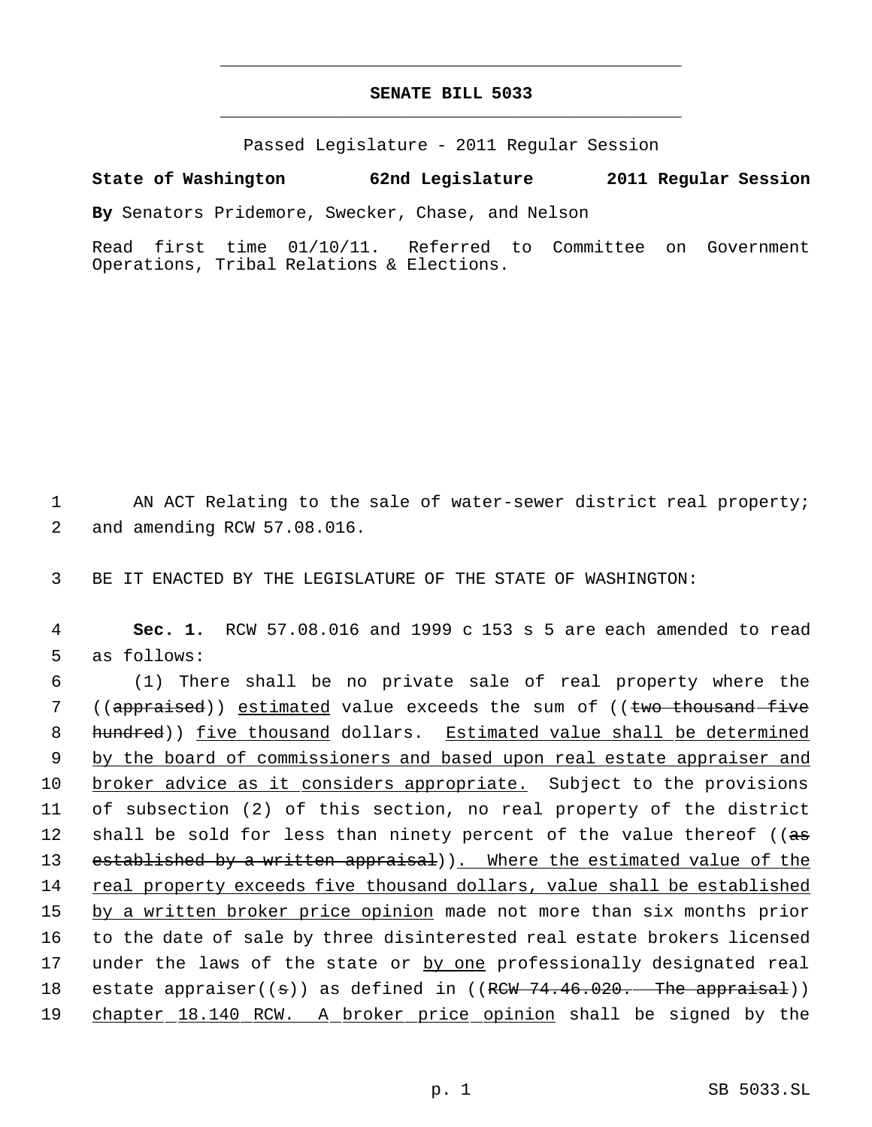## **SENATE BILL 5033** \_\_\_\_\_\_\_\_\_\_\_\_\_\_\_\_\_\_\_\_\_\_\_\_\_\_\_\_\_\_\_\_\_\_\_\_\_\_\_\_\_\_\_\_\_

\_\_\_\_\_\_\_\_\_\_\_\_\_\_\_\_\_\_\_\_\_\_\_\_\_\_\_\_\_\_\_\_\_\_\_\_\_\_\_\_\_\_\_\_\_

Passed Legislature - 2011 Regular Session

## **State of Washington 62nd Legislature 2011 Regular Session**

**By** Senators Pridemore, Swecker, Chase, and Nelson

Read first time 01/10/11. Referred to Committee on Government Operations, Tribal Relations & Elections.

1 AN ACT Relating to the sale of water-sewer district real property; 2 and amending RCW 57.08.016.

3 BE IT ENACTED BY THE LEGISLATURE OF THE STATE OF WASHINGTON:

 4 **Sec. 1.** RCW 57.08.016 and 1999 c 153 s 5 are each amended to read 5 as follows:

 6 (1) There shall be no private sale of real property where the 7 ((appraised)) estimated value exceeds the sum of ((two thousand five 8 hundred)) five thousand dollars. Estimated value shall be determined 9 by the board of commissioners and based upon real estate appraiser and 10 broker advice as it considers appropriate. Subject to the provisions 11 of subsection (2) of this section, no real property of the district 12 shall be sold for less than ninety percent of the value thereof ( $(a\overline{s})$ 13 established by a written appraisal)). Where the estimated value of the 14 real property exceeds five thousand dollars, value shall be established 15 by a written broker price opinion made not more than six months prior 16 to the date of sale by three disinterested real estate brokers licensed 17 under the laws of the state or by one professionally designated real 18 estate appraiser((s)) as defined in ((RCW 74.46.020. The appraisal)) 19 chapter 18.140 RCW. A broker price opinion shall be signed by the